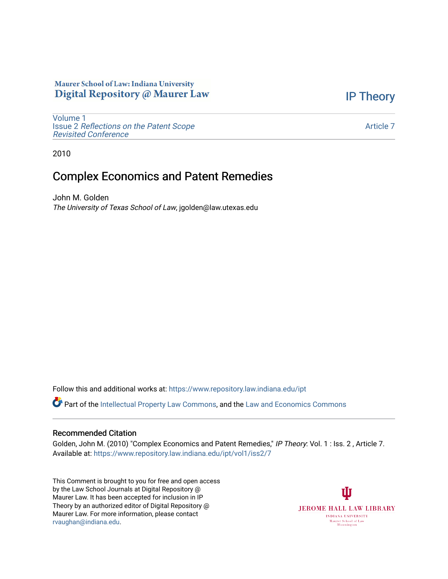## Maurer School of Law: Indiana University Digital Repository @ Maurer Law

[IP Theory](https://www.repository.law.indiana.edu/ipt) 

[Volume 1](https://www.repository.law.indiana.edu/ipt/vol1) Issue 2 [Reflections on the Patent Scope](https://www.repository.law.indiana.edu/ipt/vol1/iss2)  [Revisited Conference](https://www.repository.law.indiana.edu/ipt/vol1/iss2)

[Article 7](https://www.repository.law.indiana.edu/ipt/vol1/iss2/7) 

2010

## Complex Economics and Patent Remedies

John M. Golden The University of Texas School of Law, jgolden@law.utexas.edu

Follow this and additional works at: [https://www.repository.law.indiana.edu/ipt](https://www.repository.law.indiana.edu/ipt?utm_source=www.repository.law.indiana.edu%2Fipt%2Fvol1%2Fiss2%2F7&utm_medium=PDF&utm_campaign=PDFCoverPages) 

Part of the [Intellectual Property Law Commons,](http://network.bepress.com/hgg/discipline/896?utm_source=www.repository.law.indiana.edu%2Fipt%2Fvol1%2Fiss2%2F7&utm_medium=PDF&utm_campaign=PDFCoverPages) and the [Law and Economics Commons](http://network.bepress.com/hgg/discipline/612?utm_source=www.repository.law.indiana.edu%2Fipt%2Fvol1%2Fiss2%2F7&utm_medium=PDF&utm_campaign=PDFCoverPages) 

## Recommended Citation

Golden, John M. (2010) "Complex Economics and Patent Remedies," IP Theory: Vol. 1 : Iss. 2, Article 7. Available at: [https://www.repository.law.indiana.edu/ipt/vol1/iss2/7](https://www.repository.law.indiana.edu/ipt/vol1/iss2/7?utm_source=www.repository.law.indiana.edu%2Fipt%2Fvol1%2Fiss2%2F7&utm_medium=PDF&utm_campaign=PDFCoverPages) 

This Comment is brought to you for free and open access by the Law School Journals at Digital Repository @ Maurer Law. It has been accepted for inclusion in IP Theory by an authorized editor of Digital Repository @ Maurer Law. For more information, please contact [rvaughan@indiana.edu.](mailto:rvaughan@indiana.edu)

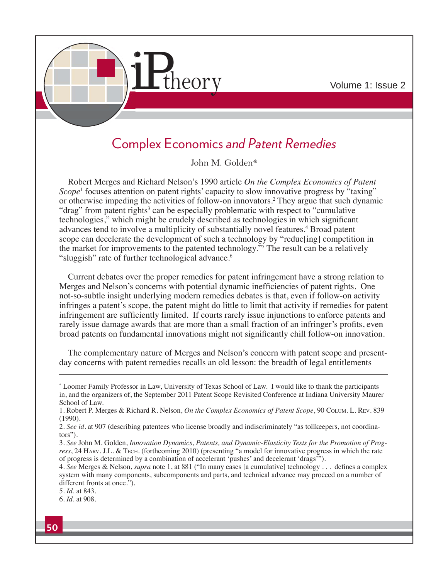

## Complex Economics *and Patent Remedies*

John M. Golden\*

Robert Merges and Richard Nelson's 1990 article *On the Complex Economics of Patent Scope*<sup>1</sup> focuses attention on patent rights' capacity to slow innovative progress by "taxing" or otherwise impeding the activities of follow-on innovators.<sup>2</sup> They argue that such dynamic "drag" from patent rights<sup>3</sup> can be especially problematic with respect to "cumulative technologies," which might be crudely described as technologies in which significant advances tend to involve a multiplicity of substantially novel features.<sup>4</sup> Broad patent scope can decelerate the development of such a technology by "reduc[ing] competition in the market for improvements to the patented technology."5 The result can be a relatively "sluggish" rate of further technological advance.<sup>6</sup>

Current debates over the proper remedies for patent infringement have a strong relation to Merges and Nelson's concerns with potential dynamic inefficiencies of patent rights. One not-so-subtle insight underlying modern remedies debates is that, even if follow-on activity infringes a patent's scope, the patent might do little to limit that activity if remedies for patent infringement are sufficiently limited. If courts rarely issue injunctions to enforce patents and rarely issue damage awards that are more than a small fraction of an infringer's profits, even broad patents on fundamental innovations might not significantly chill follow-on innovation.

The complementary nature of Merges and Nelson's concern with patent scope and presentday concerns with patent remedies recalls an old lesson: the breadth of legal entitlements

<sup>\*</sup> Loomer Family Professor in Law, University of Texas School of Law. I would like to thank the participants in, and the organizers of, the September 2011 Patent Scope Revisited Conference at Indiana University Maurer School of Law.

<sup>1.</sup> Robert P. Merges & Richard R. Nelson, *On the Complex Economics of Patent Scope*, 90 COLUM. L. REV. 839 (1990).

<sup>2</sup>*. See id.* at 907 (describing patentees who license broadly and indiscriminately "as tollkeepers, not coordinators").

<sup>3</sup>*. See* John M. Golden, *Innovation Dynamics, Patents, and Dynamic-Elasticity Tests for the Promotion of Progress*, 24 HARV. J.L. & TECH. (forthcoming 2010) (presenting "a model for innovative progress in which the rate of progress is determined by a combination of accelerant 'pushes' and decelerant 'drags'").

<sup>4.</sup> See Merges & Nelson, *supra* note 1, at 881 ("In many cases [a cumulative] technology . . . defines a complex system with many components, subcomponents and parts, and technical advance may proceed on a number of different fronts at once.").

<sup>5</sup>*. Id.* at 843.

<sup>6</sup>*. Id.* at 908.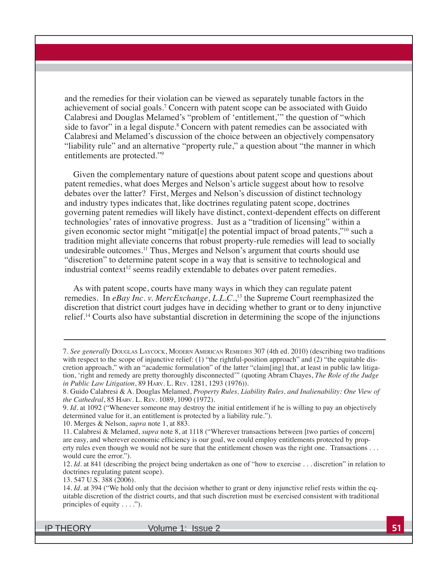and the remedies for their violation can be viewed as separately tunable factors in the achievement of social goals.<sup>7</sup> Concern with patent scope can be associated with Guido Calabresi and Douglas Melamed's "problem of 'entitlement," the question of "which side to favor" in a legal dispute.<sup>8</sup> Concern with patent remedies can be associated with Calabresi and Melamed's discussion of the choice between an objectively compensatory "liability rule" and an alternative "property rule," a question about "the manner in which entitlements are protected."9

Given the complementary nature of questions about patent scope and questions about patent remedies, what does Merges and Nelson's article suggest about how to resolve debates over the latter? First, Merges and Nelson's discussion of distinct technology and industry types indicates that, like doctrines regulating patent scope, doctrines governing patent remedies will likely have distinct, context-dependent effects on different technologies' rates of innovative progress. Just as a "tradition of licensing" within a given economic sector might "mitigat[e] the potential impact of broad patents,"10 such a tradition might alleviate concerns that robust property-rule remedies will lead to socially undesirable outcomes.<sup>11</sup> Thus, Merges and Nelson's argument that courts should use "discretion" to determine patent scope in a way that is sensitive to technological and industrial context<sup>12</sup> seems readily extendable to debates over patent remedies.

As with patent scope, courts have many ways in which they can regulate patent remedies. In eBay Inc. v. MercExchange, L.L.C.,<sup>13</sup> the Supreme Court reemphasized the discretion that district court judges have in deciding whether to grant or to deny injunctive relief.<sup>14</sup> Courts also have substantial discretion in determining the scope of the injunctions

IP THEORY Volume 1: Issue 2 **51**

<sup>7</sup>*. See generally* DOUGLAS LAYCOCK, MODERN AMERICAN REMEDIES 307 (4th ed. 2010) (describing two traditions with respect to the scope of injunctive relief:  $(1)$  "the rightful-position approach" and  $(2)$  "the equitable discretion approach," with an "academic formulation" of the latter "claim[ing] that, at least in public law litigation, 'right and remedy are pretty thoroughly disconnected'" (quoting Abram Chayes, The Role of the Judge *in Public Law Litigation*, 89 HARV. L. REV. 1281, 1293 (1976)).

<sup>8.</sup> Guido Calabresi & A. Douglas Melamed, Property Rules, Liability Rules, and Inalienability: One View of *the Cathedral*, 85 HARV. L. REV. 1089, 1090 (1972).

<sup>9</sup>*. Id.* at 1092 ("Whenever someone may destroy the initial entitlement if he is willing to pay an objectively determined value for it, an entitlement is protected by a liability rule.").

<sup>10.</sup> Merges & Nelson, *supra* note 1, at 883.

<sup>11.</sup> Calabresi & Melamed, *supra* note 8, at 1118 ("Wherever transactions between [two parties of concern] are easy, and wherever economic efficiency is our goal, we could employ entitlements protected by property rules even though we would not be sure that the entitlement chosen was the right one. Transactions . . . would cure the error.").

<sup>12</sup>*. Id.* at 841 (describing the project being undertaken as one of "how to exercise . . . discretion" in relation to doctrines regulating patent scope).

<sup>13. 547</sup> U.S. 388 (2006).

<sup>14.</sup> Id. at 394 ("We hold only that the decision whether to grant or deny injunctive relief rests within the equitable discretion of the district courts, and that such discretion must be exercised consistent with traditional principles of equity  $\dots$ ").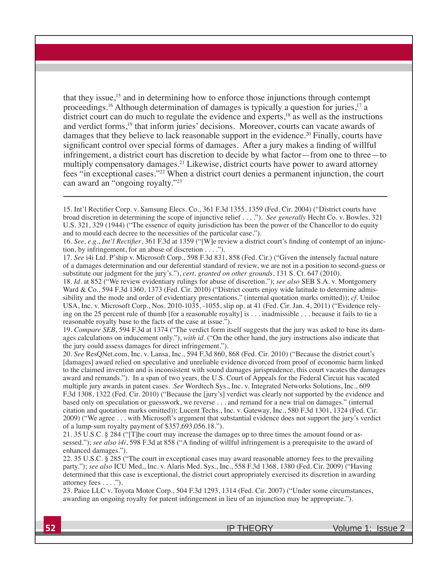that they issue,<sup>15</sup> and in determining how to enforce those injunctions through contempt proceedings.<sup>16</sup> Although determination of damages is typically a question for juries,<sup>17</sup> a district court can do much to regulate the evidence and experts, $18$  as well as the instructions and verdict forms,<sup>19</sup> that inform juries' decisions. Moreover, courts can vacate awards of damages that they believe to lack reasonable support in the evidence.<sup>20</sup> Finally, courts have significant control over special forms of damages. After a jury makes a finding of willful infringement, a district court has discretion to decide by what factor—from one to three—to multiply compensatory damages.21 Likewise, district courts have power to award attorney fees "in exceptional cases."<sup>22</sup> When a district court denies a permanent injunction, the court can award an "ongoing royalty."23

17*. See* i4i Ltd. P'ship v. Microsoft Corp., 598 F.3d 831, 858 (Fed. Cir.) ("Given the intensely factual nature of a damages determination and our deferential standard of review, we are not in a position to second-guess or substitute our judgment for the jury's."), *cert. granted on other grounds*, 131 S. Ct. 647 (2010).

18*. Id.* at 852 ("We review evidentiary rulings for abuse of discretion."); *see also* SEB S.A. v. Montgomery Ward & Co., 594 F.3d 1360, 1373 (Fed. Cir. 2010) ("District courts enjoy wide latitude to determine admissibility and the mode and order of evidentiary presentations." (internal quotation marks omitted)); cf. Uniloc USA, Inc. v. Microsoft Corp., Nos. 2010-1035, -1055, slip op. at 41 (Fed. Cir. Jan. 4, 2011) ("Evidence relying on the 25 percent rule of thumb [for a reasonable royalty] is . . . inadmissible . . . because it fails to tie a reasonable royalty base to the facts of the case at issue.").

19. Compare SEB, 594 F.3d at 1374 ("The verdict form itself suggests that the jury was asked to base its damages calculations on inducement only."), *with id.* ("On the other hand, the jury instructions also indicate that the jury could assess damages for direct infringement.").

20. See ResQNet.com, Inc. v. Lansa, Inc., 594 F.3d 860, 868 (Fed. Cir. 2010) ("Because the district court's [damages] award relied on speculative and unreliable evidence divorced from proof of economic harm linked to the claimed invention and is inconsistent with sound damages jurisprudence, this court vacates the damages award and remands."). In a span of two years, the U.S. Court of Appeals for the Federal Circuit has vacated multiple jury awards in patent cases. See Wordtech Sys., Inc. v. Integrated Networks Solutions, Inc., 609 F.3d 1308, 1322 (Fed. Cir. 2010) ("Because the [jury's] verdict was clearly not supported by the evidence and based only on speculation or guesswork, we reverse . . . and remand for a new trial on damages." (internal citation and quotation marks omitted)); Lucent Techs., Inc. v. Gateway, Inc., 580 F.3d 1301, 1324 (Fed. Cir. 2009) ("We agree . . . with Microsoft's argument that substantial evidence does not support the jury's verdict of a lump-sum royalty payment of \$357,693,056.18.").

21. 35 U.S.C. § 284 ("[T]he court may increase the damages up to three times the amount found or assessed."); *see also i4i*, 598 F.3d at 858 ("A finding of willful infringement is a prerequisite to the award of enhanced damages.").

22. 35 U.S.C. § 285 ("The court in exceptional cases may award reasonable attorney fees to the prevailing party."); see also ICU Med., Inc. v. Alaris Med. Sys., Inc., 558 F.3d 1368, 1380 (Fed. Cir. 2009) ("Having determined that this case is exceptional, the district court appropriately exercised its discretion in awarding attorney fees . . . .").

23. Paice LLC v. Toyota Motor Corp., 504 F.3d 1293, 1314 (Fed. Cir. 2007) ("Under some circumstances, awarding an ongoing royalty for patent infringement in lieu of an injunction may be appropriate.").

**52 IP THEORY** Volume 1: Issue 2

<sup>15.</sup> Int'l Rectifier Corp. v. Samsung Elecs. Co., 361 F.3d 1355, 1359 (Fed. Cir. 2004) ("District courts have broad discretion in determining the scope of injunctive relief . . . ."). See generally Hecht Co. v. Bowles, 321 U.S. 321, 329 (1944) ("The essence of equity jurisdiction has been the power of the Chancellor to do equity and to mould each decree to the necessities of the particular case.").

<sup>16.</sup> See, e.g., *Int'l Rectifier*, 361 F.3d at 1359 ("[W]e review a district court's finding of contempt of an injunction, by infringement, for an abuse of discretion  $\dots$ .").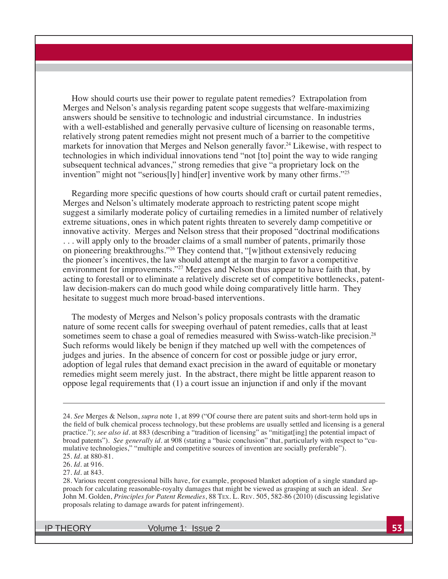How should courts use their power to regulate patent remedies? Extrapolation from Merges and Nelson's analysis regarding patent scope suggests that welfare-maximizing answers should be sensitive to technologic and industrial circumstance. In industries with a well-established and generally pervasive culture of licensing on reasonable terms, relatively strong patent remedies might not present much of a barrier to the competitive markets for innovation that Merges and Nelson generally favor.<sup>24</sup> Likewise, with respect to technologies in which individual innovations tend "not [to] point the way to wide ranging subsequent technical advances," strong remedies that give "a proprietary lock on the invention" might not "serious[ly] hind[er] inventive work by many other firms."<sup>25</sup>

Regarding more specific questions of how courts should craft or curtail patent remedies, Merges and Nelson's ultimately moderate approach to restricting patent scope might suggest a similarly moderate policy of curtailing remedies in a limited number of relatively extreme situations, ones in which patent rights threaten to severely damp competitive or innovative activity. Merges and Nelson stress that their proposed "doctrinal modifications . . . will apply only to the broader claims of a small number of patents, primarily those on pioneering breakthroughs."26 They contend that, "[w]ithout extensively reducing the pioneer's incentives, the law should attempt at the margin to favor a competitive environment for improvements."27 Merges and Nelson thus appear to have faith that, by acting to forestall or to eliminate a relatively discrete set of competitive bottlenecks, patentlaw decision-makers can do much good while doing comparatively little harm. They hesitate to suggest much more broad-based interventions.

The modesty of Merges and Nelson's policy proposals contrasts with the dramatic nature of some recent calls for sweeping overhaul of patent remedies, calls that at least sometimes seem to chase a goal of remedies measured with Swiss-watch-like precision.<sup>28</sup> Such reforms would likely be benign if they matched up well with the competences of judges and juries. In the absence of concern for cost or possible judge or jury error, adoption of legal rules that demand exact precision in the award of equitable or monetary remedies might seem merely just. In the abstract, there might be little apparent reason to oppose legal requirements that  $(1)$  a court issue an injunction if and only if the movant

IP THEORY Volume 1: Issue 2 **53**

<sup>24.</sup> See Merges & Nelson, *supra* note 1, at 899 ("Of course there are patent suits and short-term hold ups in the field of bulk chemical process technology, but these problems are usually settled and licensing is a general practice."); *see also id.* at 883 (describing a "tradition of licensing" as "mitigat[ing] the potential impact of broad patents"). *See generally id.* at 908 (stating a "basic conclusion" that, particularly with respect to "cumulative technologies," "multiple and competitive sources of invention are socially preferable").

<sup>25</sup>*. Id.* at 880-81.

<sup>26</sup>*. Id.* at 916.

<sup>27</sup>*. Id.* at 843.

<sup>28.</sup> Various recent congressional bills have, for example, proposed blanket adoption of a single standard approach for calculating reasonable-royalty damages that might be viewed as grasping at such an ideal. *See* John M. Golden, *Principles for Patent Remedies*, 88 TEX. L. REV. 505, 582-86 (2010) (discussing legislative proposals relating to damage awards for patent infringement).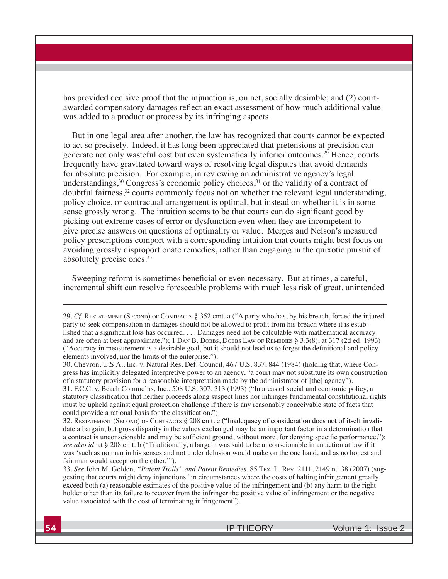has provided decisive proof that the injunction is, on net, socially desirable; and (2) courtawarded compensatory damages reflect an exact assessment of how much additional value was added to a product or process by its infringing aspects.

But in one legal area after another, the law has recognized that courts cannot be expected to act so precisely. Indeed, it has long been appreciated that pretensions at precision can generate not only wasteful cost but even systematically inferior outcomes.<sup>29</sup> Hence, courts Integrally have gravitated toward ways of resolving legal disputes that avoid demands for absolute precision. For example, in reviewing an administrative agency's legal understandings,  $30$  Congress's economic policy choices,  $31$  or the validity of a contract of doubtful fairness,<sup>32</sup> courts commonly focus not on whether the relevant legal understanding, policy choice, or contractual arrangement is optimal, but instead on whether it is in some sense grossly wrong. The intuition seems to be that courts can do significant good by picking out extreme cases of error or dysfunction even when they are incompetent to give precise answers on questions of optimality or value. Merges and Nelson's measured policy prescriptions comport with a corresponding intuition that courts might best focus on avoiding grossly disproportionate remedies, rather than engaging in the quixotic pursuit of absolutely precise ones.33

Sweeping reform is sometimes beneficial or even necessary. But at times, a careful, incremental shift can resolve foreseeable problems with much less risk of great, unintended

29. Cf. RESTATEMENT (SECOND) OF CONTRACTS § 352 cmt. a ("A party who has, by his breach, forced the injured party to seek compensation in damages should not be allowed to profit from his breach where it is established that a significant loss has occurred.... Damages need not be calculable with mathematical accuracy and are often at best approximate."); 1 DAN B. DOBBS, DOBBS LAW OF REMEDIES § 3.3(8), at 317 (2d ed. 1993) "Accuracy in measurement is a desirable goal, but it should not lead us to forget the definitional and policy elements involved, nor the limits of the enterprise.").

30. Chevron, U.S.A., Inc. v. Natural Res. Def. Council, 467 U.S. 837, 844 (1984) (holding that, where Congress has implicitly delegated interpretive power to an agency, "a court may not substitute its own construction of a statutory provision for a reasonable interpretation made by the administrator of [the] agency").  $31.$  F.C.C. v. Beach Commc'ns, Inc.,  $508$  U.S.  $307, 313$  (1993) ("In areas of social and economic policy, a

statutory classification that neither proceeds along suspect lines nor infringes fundamental constitutional rights must be upheld against equal protection challenge if there is any reasonably conceivable state of facts that could provide a rational basis for the classification.").

32. RESTATEMENT (SECOND) OF CONTRACTS § 208 cmt. c ("Inadequacy of consideration does not of itself invalidate a bargain, but gross disparity in the values exchanged may be an important factor in a determination that a contract is unconscionable and may be sufficient ground, without more, for denying specific performance."); *see also id.* at § 208 cmt. b ("Traditionally, a bargain was said to be unconscionable in an action at law if it was 'such as no man in his senses and not under delusion would make on the one hand, and as no honest and fair man would accept on the other.'").

33*. See* John M. Golden, *"Patent Trolls" and Patent Remedies*, 85 TEX. L. REV. 2111, 2149 n.138 (2007) (suggesting that courts might deny injunctions "in circumstances where the costs of halting infringement greatly exceed both (a) reasonable estimates of the positive value of the infringement and (b) any harm to the right holder other than its failure to recover from the infringer the positive value of infringement or the negative value associated with the cost of terminating infringement").